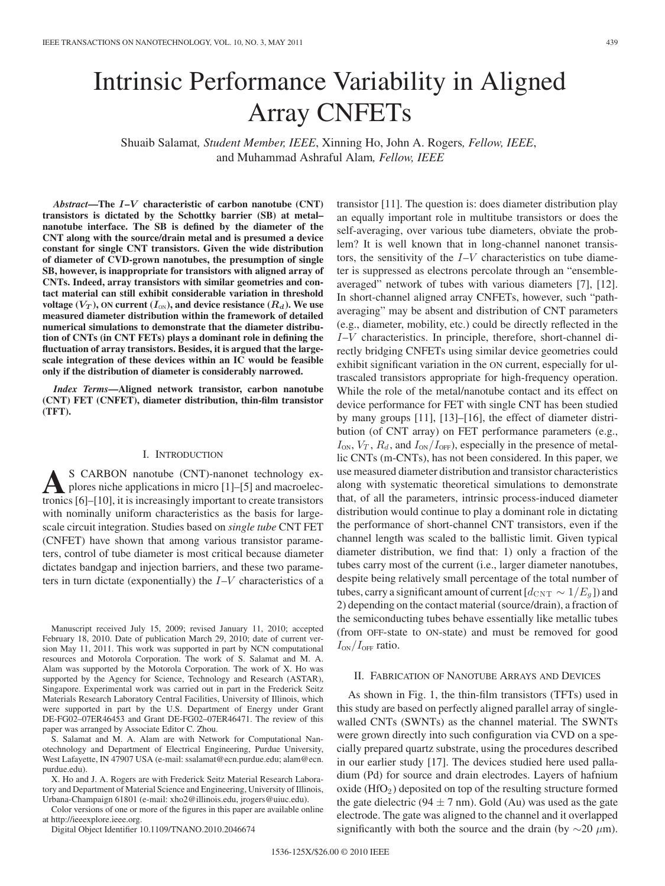# Intrinsic Performance Variability in Aligned Array CNFETs

Shuaib Salamat*, Student Member, IEEE*, Xinning Ho, John A. Rogers*, Fellow, IEEE*, and Muhammad Ashraful Alam*, Fellow, IEEE*

*Abstract***—The** *I***–***V* **characteristic of carbon nanotube (CNT) transistors is dictated by the Schottky barrier (SB) at metal– nanotube interface. The SB is defined by the diameter of the CNT along with the source/drain metal and is presumed a device constant for single CNT transistors. Given the wide distribution of diameter of CVD-grown nanotubes, the presumption of single SB, however, is inappropriate for transistors with aligned array of CNTs. Indeed, array transistors with similar geometries and contact material can still exhibit considerable variation in threshold voltage**  $(V_T)$ , ON current  $(I_{ON})$ , and device resistance  $(R_d)$ . We use **measured diameter distribution within the framework of detailed numerical simulations to demonstrate that the diameter distribution of CNTs (in CNT FETs) plays a dominant role in defining the fluctuation of array transistors. Besides, it is argued that the largescale integration of these devices within an IC would be feasible only if the distribution of diameter is considerably narrowed.**

*Index Terms***—Aligned network transistor, carbon nanotube (CNT) FET (CNFET), diameter distribution, thin-film transistor (TFT).**

## I. INTRODUCTION

S CARBON nanotube (CNT)-nanonet technology explores niche applications in micro [1]–[5] and macroelectronics [6]–[10], it is increasingly important to create transistors with nominally uniform characteristics as the basis for largescale circuit integration. Studies based on *single tube* CNT FET (CNFET) have shown that among various transistor parameters, control of tube diameter is most critical because diameter dictates bandgap and injection barriers, and these two parameters in turn dictate (exponentially) the  $I-V$  characteristics of a

Manuscript received July 15, 2009; revised January 11, 2010; accepted February 18, 2010. Date of publication March 29, 2010; date of current version May 11, 2011. This work was supported in part by NCN computational resources and Motorola Corporation. The work of S. Salamat and M. A. Alam was supported by the Motorola Corporation. The work of X. Ho was supported by the Agency for Science, Technology and Research (ASTAR), Singapore. Experimental work was carried out in part in the Frederick Seitz Materials Research Laboratory Central Facilities, University of Illinois, which were supported in part by the U.S. Department of Energy under Grant DE-FG02–07ER46453 and Grant DE-FG02–07ER46471. The review of this paper was arranged by Associate Editor C. Zhou.

S. Salamat and M. A. Alam are with Network for Computational Nanotechnology and Department of Electrical Engineering, Purdue University, West Lafayette, IN 47907 USA (e-mail: ssalamat@ecn.purdue.edu; alam@ecn. purdue.edu).

X. Ho and J. A. Rogers are with Frederick Seitz Material Research Laboratory and Department of Material Science and Engineering, University of Illinois, Urbana-Champaign 61801 (e-mail: xho2@illinois.edu, jrogers@uiuc.edu).

Color versions of one or more of the figures in this paper are available online

at http://ieeexplore.ieee.org. Digital Object Identifier 10.1109/TNANO.2010.2046674 transistor [11]. The question is: does diameter distribution play an equally important role in multitube transistors or does the self-averaging, over various tube diameters, obviate the problem? It is well known that in long-channel nanonet transistors, the sensitivity of the  $I-V$  characteristics on tube diameter is suppressed as electrons percolate through an "ensembleaveraged" network of tubes with various diameters [7], [12]. In short-channel aligned array CNFETs, however, such "pathaveraging" may be absent and distribution of CNT parameters (e.g., diameter, mobility, etc.) could be directly reflected in the I–V characteristics. In principle, therefore, short-channel directly bridging CNFETs using similar device geometries could exhibit significant variation in the ON current, especially for ultrascaled transistors appropriate for high-frequency operation. While the role of the metal/nanotube contact and its effect on device performance for FET with single CNT has been studied by many groups [11], [13]–[16], the effect of diameter distribution (of CNT array) on FET performance parameters (e.g.,  $I_{\text{ON}}$ ,  $V_T$ ,  $R_d$ , and  $I_{\text{ON}}/I_{\text{OFF}}$ ), especially in the presence of metallic CNTs (m-CNTs), has not been considered. In this paper, we use measured diameter distribution and transistor characteristics along with systematic theoretical simulations to demonstrate that, of all the parameters, intrinsic process-induced diameter distribution would continue to play a dominant role in dictating the performance of short-channel CNT transistors, even if the channel length was scaled to the ballistic limit. Given typical diameter distribution, we find that: 1) only a fraction of the tubes carry most of the current (i.e., larger diameter nanotubes, despite being relatively small percentage of the total number of tubes, carry a significant amount of current  $[d_{\text{CNT}} \sim 1/E_q]$ ) and 2) depending on the contact material (source/drain), a fraction of the semiconducting tubes behave essentially like metallic tubes (from OFF-state to ON-state) and must be removed for good  $I_{ON}/I_{OFF}$  ratio.

## II. FABRICATION OF NANOTUBE ARRAYS AND DEVICES

As shown in Fig. 1, the thin-film transistors (TFTs) used in this study are based on perfectly aligned parallel array of singlewalled CNTs (SWNTs) as the channel material. The SWNTs were grown directly into such configuration via CVD on a specially prepared quartz substrate, using the procedures described in our earlier study [17]. The devices studied here used palladium (Pd) for source and drain electrodes. Layers of hafnium oxide  $(HfO<sub>2</sub>)$  deposited on top of the resulting structure formed the gate dielectric (94  $\pm$  7 nm). Gold (Au) was used as the gate electrode. The gate was aligned to the channel and it overlapped significantly with both the source and the drain (by  $\sim$ 20  $\mu$ m).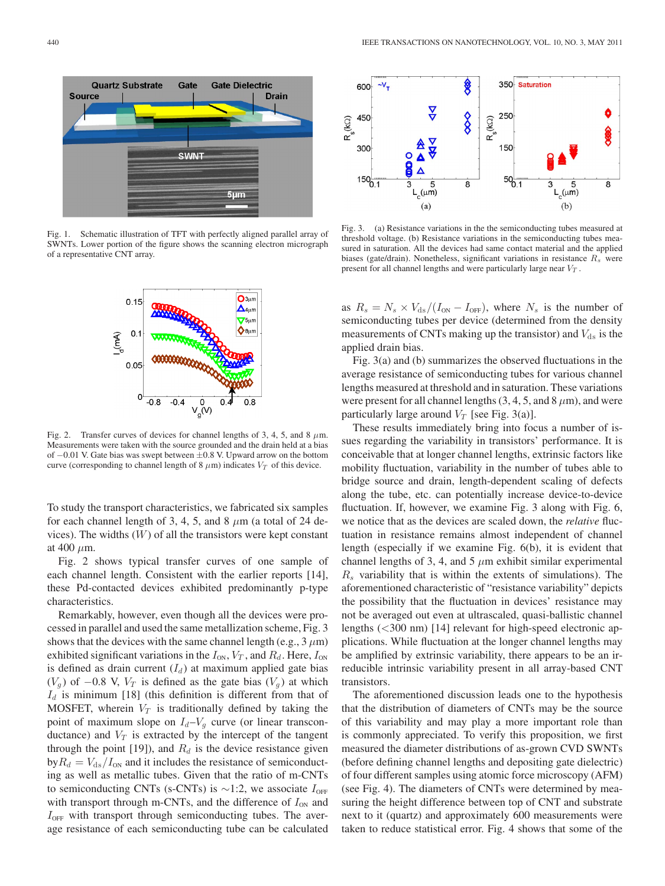

Fig. 1. Schematic illustration of TFT with perfectly aligned parallel array of SWNTs. Lower portion of the figure shows the scanning electron micrograph of a representative CNT array.



Fig. 2. Transfer curves of devices for channel lengths of 3, 4, 5, and 8  $\mu$ m. Measurements were taken with the source grounded and the drain held at a bias of −0.01 V. Gate bias was swept between ±0.8 V. Upward arrow on the bottom curve (corresponding to channel length of 8  $\mu$ m) indicates  $V_T$  of this device.

To study the transport characteristics, we fabricated six samples for each channel length of 3, 4, 5, and 8  $\mu$ m (a total of 24 devices). The widths  $(W)$  of all the transistors were kept constant at 400  $\mu$ m.

Fig. 2 shows typical transfer curves of one sample of each channel length. Consistent with the earlier reports [14], these Pd-contacted devices exhibited predominantly p-type characteristics.

Remarkably, however, even though all the devices were processed in parallel and used the same metallization scheme, Fig. 3 shows that the devices with the same channel length (e.g.,  $3 \mu m$ ) exhibited significant variations in the  $I_{ON}$ ,  $V_T$ , and  $R_d$ . Here,  $I_{ON}$ is defined as drain current  $(I_d)$  at maximum applied gate bias  $(V_q)$  of −0.8 V,  $V_T$  is defined as the gate bias  $(V_q)$  at which  $I_d$  is minimum [18] (this definition is different from that of MOSFET, wherein  $V_T$  is traditionally defined by taking the point of maximum slope on  $I_d - V_q$  curve (or linear transconductance) and  $V_T$  is extracted by the intercept of the tangent through the point [19]), and  $R_d$  is the device resistance given  $byR_d = V_{ds}/I_{0N}$  and it includes the resistance of semiconducting as well as metallic tubes. Given that the ratio of m-CNTs to semiconducting CNTs (s-CNTs) is  $\sim$ 1:2, we associate  $I_{\text{OFF}}$ with transport through m-CNTs, and the difference of  $I_{ON}$  and  $I_{\text{OFF}}$  with transport through semiconducting tubes. The average resistance of each semiconducting tube can be calculated



Fig. 3. (a) Resistance variations in the the semiconducting tubes measured at threshold voltage. (b) Resistance variations in the semiconducting tubes measured in saturation. All the devices had same contact material and the applied biases (gate/drain). Nonetheless, significant variations in resistance  $R_s$  were present for all channel lengths and were particularly large near  $V_T$ .

as  $R_s = N_s \times V_{ds}/(I_{\text{ON}} - I_{\text{OFF}})$ , where  $N_s$  is the number of semiconducting tubes per device (determined from the density measurements of CNTs making up the transistor) and  $V_{ds}$  is the applied drain bias.

Fig. 3(a) and (b) summarizes the observed fluctuations in the average resistance of semiconducting tubes for various channel lengths measured at threshold and in saturation. These variations were present for all channel lengths  $(3, 4, 5, \text{ and } 8 \,\mu\text{m})$ , and were particularly large around  $V_T$  [see Fig. 3(a)].

These results immediately bring into focus a number of issues regarding the variability in transistors' performance. It is conceivable that at longer channel lengths, extrinsic factors like mobility fluctuation, variability in the number of tubes able to bridge source and drain, length-dependent scaling of defects along the tube, etc. can potentially increase device-to-device fluctuation. If, however, we examine Fig. 3 along with Fig. 6, we notice that as the devices are scaled down, the *relative* fluctuation in resistance remains almost independent of channel length (especially if we examine Fig. 6(b), it is evident that channel lengths of 3, 4, and 5  $\mu$ m exhibit similar experimental  $R<sub>s</sub>$  variability that is within the extents of simulations). The aforementioned characteristic of "resistance variability" depicts the possibility that the fluctuation in devices' resistance may not be averaged out even at ultrascaled, quasi-ballistic channel lengths (<300 nm) [14] relevant for high-speed electronic applications. While fluctuation at the longer channel lengths may be amplified by extrinsic variability, there appears to be an irreducible intrinsic variability present in all array-based CNT transistors.

The aforementioned discussion leads one to the hypothesis that the distribution of diameters of CNTs may be the source of this variability and may play a more important role than is commonly appreciated. To verify this proposition, we first measured the diameter distributions of as-grown CVD SWNTs (before defining channel lengths and depositing gate dielectric) of four different samples using atomic force microscopy (AFM) (see Fig. 4). The diameters of CNTs were determined by measuring the height difference between top of CNT and substrate next to it (quartz) and approximately 600 measurements were taken to reduce statistical error. Fig. 4 shows that some of the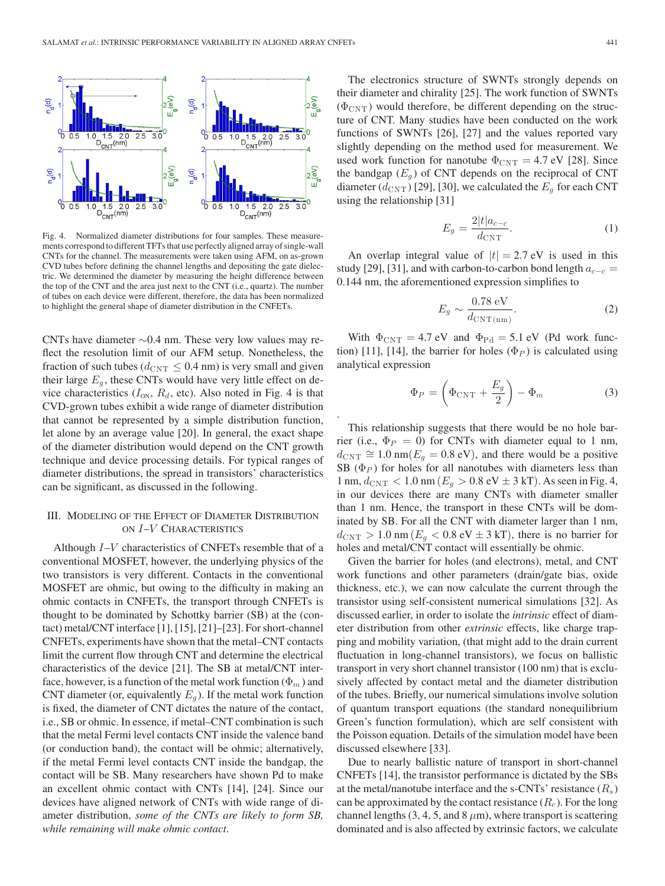

Fig. 4. Normalized diameter distributions for four samples. These measurements correspond to different TFTs that use perfectly aligned array of single-wall CNTs for the channel. The measurements were taken using AFM, on as-grown CVD tubes before defining the channel lengths and depositing the gate dielectric. We determined the diameter by measuring the height difference between the top of the CNT and the area just next to the CNT (i.e., quartz). The number of tubes on each device were different, therefore, the data has been normalized to highlight the general shape of diameter distribution in the CNFETs.

CNTs have diameter ∼0.4 nm. These very low values may reflect the resolution limit of our AFM setup. Nonetheless, the fraction of such tubes ( $d_{\text{CNT}} \leq 0.4$  nm) is very small and given their large  $E<sub>g</sub>$ , these CNTs would have very little effect on device characteristics  $(I_{ON}, R_d,$  etc). Also noted in Fig. 4 is that CVD-grown tubes exhibit a wide range of diameter distribution that cannot be represented by a simple distribution function, let alone by an average value [20]. In general, the exact shape of the diameter distribution would depend on the CNT growth technique and device processing details. For typical ranges of diameter distributions, the spread in transistors' characteristics can be significant, as discussed in the following.

## III. MODELING OF THE EFFECT OF DIAMETER DISTRIBUTION ON I–V CHARACTERISTICS

Although I–V characteristics of CNFETs resemble that of a conventional MOSFET, however, the underlying physics of the two transistors is very different. Contacts in the conventional MOSFET are ohmic, but owing to the difficulty in making an ohmic contacts in CNFETs, the transport through CNFETs is thought to be dominated by Schottky barrier (SB) at the (contact) metal/CNT interface [1], [15], [21]–[23]. For short-channel CNFETs, experiments have shown that the metal–CNT contacts limit the current flow through CNT and determine the electrical characteristics of the device [21]. The SB at metal/CNT interface, however, is a function of the metal work function ( $\Phi_m$ ) and CNT diameter (or, equivalently  $E<sub>q</sub>$ ). If the metal work function is fixed, the diameter of CNT dictates the nature of the contact, i.e., SB or ohmic. In essence, if metal–CNT combination is such that the metal Fermi level contacts CNT inside the valence band (or conduction band), the contact will be ohmic; alternatively, if the metal Fermi level contacts CNT inside the bandgap, the contact will be SB. Many researchers have shown Pd to make an excellent ohmic contact with CNTs [14], [24]. Since our devices have aligned network of CNTs with wide range of diameter distribution, *some of the CNTs are likely to form SB, while remaining will make ohmic contact*.

The electronics structure of SWNTs strongly depends on their diameter and chirality [25]. The work function of SWNTs  $(\Phi_{\text{CNT}})$  would therefore, be different depending on the structure of CNT. Many studies have been conducted on the work functions of SWNTs [26], [27] and the values reported vary slightly depending on the method used for measurement. We used work function for nanotube  $\Phi_{\text{CNT}} = 4.7 \text{ eV}$  [28]. Since the bandgap  $(E_q)$  of CNT depends on the reciprocal of CNT diameter  $(d_{\text{CNT}})$  [29], [30], we calculated the  $E_q$  for each CNT using the relationship [31]

$$
E_g = \frac{2|t|a_{c-c}}{d_{\text{CNT}}}.\tag{1}
$$

An overlap integral value of  $|t| = 2.7$  eV is used in this study [29], [31], and with carbon-to-carbon bond length  $a_{c-c}$  = 0.144 nm, the aforementioned expression simplifies to

$$
E_g \sim \frac{0.78 \text{ eV}}{d_{\text{CNT(nm)}}}. \tag{2}
$$

With  $\Phi_{\text{CNT}} = 4.7 \text{ eV}$  and  $\Phi_{\text{Pd}} = 5.1 \text{ eV}$  (Pd work function) [11], [14], the barrier for holes  $(\Phi_P)$  is calculated using analytical expression

.

$$
\Phi_P = \left(\Phi_{\text{CNT}} + \frac{E_g}{2}\right) - \Phi_m \tag{3}
$$

This relationship suggests that there would be no hole barrier (i.e.,  $\Phi_P = 0$ ) for CNTs with diameter equal to 1 nm,  $d_{\text{CNT}} \cong 1.0 \text{ nm}(E_g = 0.8 \text{ eV})$ , and there would be a positive SB ( $\Phi_P$ ) for holes for all nanotubes with diameters less than 1 nm,  $d_{\text{CNT}} < 1.0$  nm ( $E_g > 0.8 \text{ eV} \pm 3 \text{ kT}$ ). As seen in Fig. 4, in our devices there are many CNTs with diameter smaller than 1 nm. Hence, the transport in these CNTs will be dominated by SB. For all the CNT with diameter larger than 1 nm,  $d_{\text{CNT}} > 1.0 \text{ nm}$  ( $E_g < 0.8 \text{ eV} \pm 3 \text{ kT}$ ), there is no barrier for holes and metal/CNT contact will essentially be ohmic.

Given the barrier for holes (and electrons), metal, and CNT work functions and other parameters (drain/gate bias, oxide thickness, etc.), we can now calculate the current through the transistor using self-consistent numerical simulations [32]. As discussed earlier, in order to isolate the *intrinsic* effect of diameter distribution from other *extrinsic* effects, like charge trapping and mobility variation, (that might add to the drain current fluctuation in long-channel transistors), we focus on ballistic transport in very short channel transistor (100 nm) that is exclusively affected by contact metal and the diameter distribution of the tubes. Briefly, our numerical simulations involve solution of quantum transport equations (the standard nonequilibrium Green's function formulation), which are self consistent with the Poisson equation. Details of the simulation model have been discussed elsewhere [33].

Due to nearly ballistic nature of transport in short-channel CNFETs [14], the transistor performance is dictated by the SBs at the metal/nanotube interface and the s-CNTs' resistance  $(R_s)$ can be approximated by the contact resistance  $(R_c)$ . For the long channel lengths (3, 4, 5, and 8  $\mu$ m), where transport is scattering dominated and is also affected by extrinsic factors, we calculate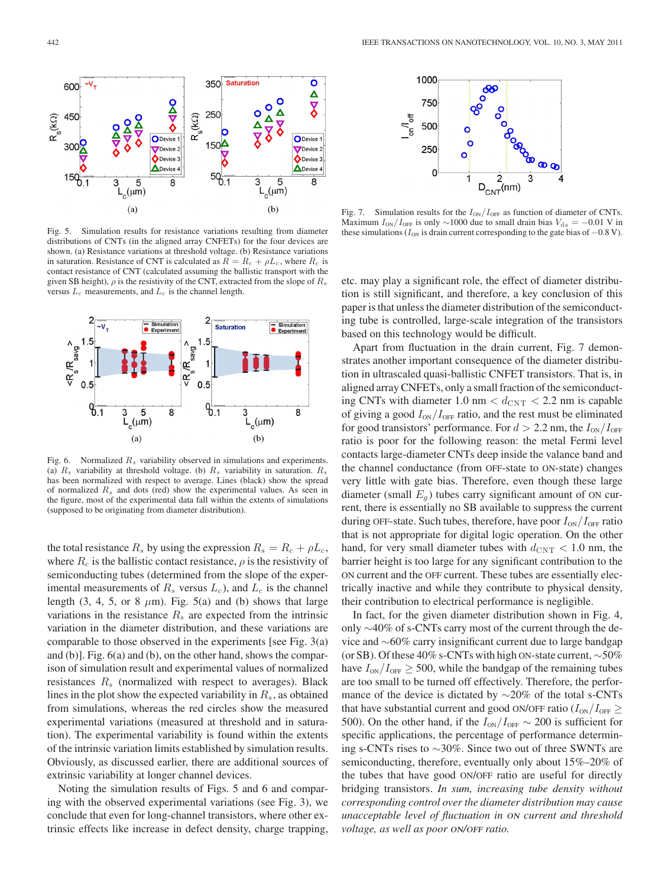

Fig. 5. Simulation results for resistance variations resulting from diameter distributions of CNTs (in the aligned array CNFETs) for the four devices are shown. (a) Resistance variations at threshold voltage. (b) Resistance variations in saturation. Resistance of CNT is calculated as  $R = R_c + \rho L_c$ , where  $R_c$  is contact resistance of CNT (calculated assuming the ballistic transport with the given SB height),  $\rho$  is the resistivity of the CNT, extracted from the slope of  $R_s$ versus  $L_c$  measurements, and  $L_c$  is the channel length.



Fig. 6. Normalized  $R_s$  variability observed in simulations and experiments. (a)  $R_s$  variability at threshold voltage. (b)  $R_s$  variability in saturation.  $R_s$ has been normalized with respect to average. Lines (black) show the spread of normalized  $R_s$  and dots (red) show the experimental values. As seen in the figure, most of the experimental data fall within the extents of simulations (supposed to be originating from diameter distribution).

the total resistance  $R_s$  by using the expression  $R_s = R_c + \rho L_c$ , where  $R_c$  is the ballistic contact resistance,  $\rho$  is the resistivity of semiconducting tubes (determined from the slope of the experimental measurements of  $R_s$  versus  $L_c$ ), and  $L_c$  is the channel length (3, 4, 5, or 8  $\mu$ m). Fig. 5(a) and (b) shows that large variations in the resistance  $R_s$  are expected from the intrinsic variation in the diameter distribution, and these variations are comparable to those observed in the experiments [see Fig. 3(a) and (b)]. Fig. 6(a) and (b), on the other hand, shows the comparison of simulation result and experimental values of normalized resistances  $R<sub>s</sub>$  (normalized with respect to averages). Black lines in the plot show the expected variability in  $R_s$ , as obtained from simulations, whereas the red circles show the measured experimental variations (measured at threshold and in saturation). The experimental variability is found within the extents of the intrinsic variation limits established by simulation results. Obviously, as discussed earlier, there are additional sources of extrinsic variability at longer channel devices.

Noting the simulation results of Figs. 5 and 6 and comparing with the observed experimental variations (see Fig. 3), we conclude that even for long-channel transistors, where other extrinsic effects like increase in defect density, charge trapping,



Fig. 7. Simulation results for the  $I_{ON}/I_{OFF}$  as function of diameter of CNTs. Maximum  $I_{ON}/I_{OFF}$  is only ~1000 due to small drain bias  $V_{ds} = -0.01$  V in these simulations ( $I_{ON}$  is drain current corresponding to the gate bias of  $-0.8$  V).

etc. may play a significant role, the effect of diameter distribution is still significant, and therefore, a key conclusion of this paper is that unless the diameter distribution of the semiconducting tube is controlled, large-scale integration of the transistors based on this technology would be difficult.

Apart from fluctuation in the drain current, Fig. 7 demonstrates another important consequence of the diameter distribution in ultrascaled quasi-ballistic CNFET transistors. That is, in aligned array CNFETs, only a small fraction of the semiconducting CNTs with diameter 1.0 nm  $< d_{\text{CNT}} < 2.2$  nm is capable of giving a good  $I_{ON}/I_{OFF}$  ratio, and the rest must be eliminated for good transistors' performance. For  $d > 2.2$  nm, the  $I_{ON}/I_{OFF}$ ratio is poor for the following reason: the metal Fermi level contacts large-diameter CNTs deep inside the valance band and the channel conductance (from OFF-state to ON-state) changes very little with gate bias. Therefore, even though these large diameter (small  $E_q$ ) tubes carry significant amount of ON current, there is essentially no SB available to suppress the current during OFF-state. Such tubes, therefore, have poor  $I_{ON}/I_{OFF}$  ratio that is not appropriate for digital logic operation. On the other hand, for very small diameter tubes with  $d_{\text{CNT}} < 1.0$  nm, the barrier height is too large for any significant contribution to the ON current and the OFF current. These tubes are essentially electrically inactive and while they contribute to physical density, their contribution to electrical performance is negligible.

In fact, for the given diameter distribution shown in Fig. 4, only ∼40% of s-CNTs carry most of the current through the device and ∼60% carry insignificant current due to large bandgap (or SB). Of these 40% s-CNTs with high ON-state current, ∼50% have  $I_{ON}/I_{OFF} \geq 500$ , while the bandgap of the remaining tubes are too small to be turned off effectively. Therefore, the performance of the device is dictated by ∼20% of the total s-CNTs that have substantial current and good ON/OFF ratio ( $I_{ON}/I_{OFF} \ge$ 500). On the other hand, if the  $I_{ON}/I_{OFF} \sim 200$  is sufficient for specific applications, the percentage of performance determining s-CNTs rises to ∼30%. Since two out of three SWNTs are semiconducting, therefore, eventually only about 15%–20% of the tubes that have good ON/OFF ratio are useful for directly bridging transistors. *In sum, increasing tube density without corresponding control over the diameter distribution may cause unacceptable level of fluctuation in* on *current and threshold*  $voltage, as well as poor ON/OFF ratio.$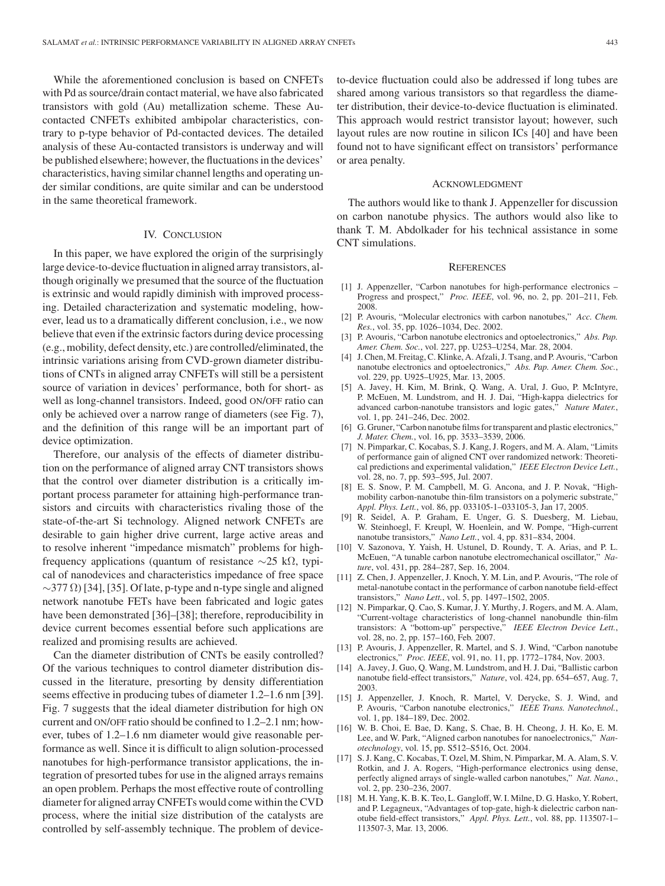While the aforementioned conclusion is based on CNFETs with Pd as source/drain contact material, we have also fabricated transistors with gold (Au) metallization scheme. These Aucontacted CNFETs exhibited ambipolar characteristics, contrary to p-type behavior of Pd-contacted devices. The detailed analysis of these Au-contacted transistors is underway and will be published elsewhere; however, the fluctuations in the devices' characteristics, having similar channel lengths and operating under similar conditions, are quite similar and can be understood in the same theoretical framework.

## IV. CONCLUSION

In this paper, we have explored the origin of the surprisingly large device-to-device fluctuation in aligned array transistors, although originally we presumed that the source of the fluctuation is extrinsic and would rapidly diminish with improved processing. Detailed characterization and systematic modeling, however, lead us to a dramatically different conclusion, i.e., we now believe that even if the extrinsic factors during device processing (e.g., mobility, defect density, etc.) are controlled/eliminated, the intrinsic variations arising from CVD-grown diameter distributions of CNTs in aligned array CNFETs will still be a persistent source of variation in devices' performance, both for short- as well as long-channel transistors. Indeed, good ON/OFF ratio can only be achieved over a narrow range of diameters (see Fig. 7), and the definition of this range will be an important part of device optimization.

Therefore, our analysis of the effects of diameter distribution on the performance of aligned array CNT transistors shows that the control over diameter distribution is a critically important process parameter for attaining high-performance transistors and circuits with characteristics rivaling those of the state-of-the-art Si technology. Aligned network CNFETs are desirable to gain higher drive current, large active areas and to resolve inherent "impedance mismatch" problems for highfrequency applications (quantum of resistance  $\sim$ 25 kΩ, typical of nanodevices and characteristics impedance of free space  $\sim$ 377  $\Omega$ ) [34], [35]. Of late, p-type and n-type single and aligned network nanotube FETs have been fabricated and logic gates have been demonstrated [36]–[38]; therefore, reproducibility in device current becomes essential before such applications are realized and promising results are achieved.

Can the diameter distribution of CNTs be easily controlled? Of the various techniques to control diameter distribution discussed in the literature, presorting by density differentiation seems effective in producing tubes of diameter 1.2–1.6 nm [39]. Fig. 7 suggests that the ideal diameter distribution for high ON current and ON/OFF ratio should be confined to 1.2–2.1 nm; however, tubes of 1.2–1.6 nm diameter would give reasonable performance as well. Since it is difficult to align solution-processed nanotubes for high-performance transistor applications, the integration of presorted tubes for use in the aligned arrays remains an open problem. Perhaps the most effective route of controlling diameter for aligned array CNFETs would come within the CVD process, where the initial size distribution of the catalysts are controlled by self-assembly technique. The problem of deviceto-device fluctuation could also be addressed if long tubes are shared among various transistors so that regardless the diameter distribution, their device-to-device fluctuation is eliminated. This approach would restrict transistor layout; however, such layout rules are now routine in silicon ICs [40] and have been found not to have significant effect on transistors' performance or area penalty.

### ACKNOWLEDGMENT

The authors would like to thank J. Appenzeller for discussion on carbon nanotube physics. The authors would also like to thank T. M. Abdolkader for his technical assistance in some CNT simulations.

#### **REFERENCES**

- [1] J. Appenzeller, "Carbon nanotubes for high-performance electronics Progress and prospect," *Proc. IEEE*, vol. 96, no. 2, pp. 201–211, Feb. 2008.
- [2] P. Avouris, "Molecular electronics with carbon nanotubes," *Acc. Chem. Res.*, vol. 35, pp. 1026–1034, Dec. 2002.
- [3] P. Avouris, "Carbon nanotube electronics and optoelectronics," *Abs. Pap. Amer. Chem. Soc.*, vol. 227, pp. U253–U254, Mar. 28, 2004.
- [4] J. Chen, M. Freitag, C. Klinke, A. Afzali, J. Tsang, and P. Avouris, "Carbon nanotube electronics and optoelectronics," *Abs. Pap. Amer. Chem. Soc.*, vol. 229, pp. U925–U925, Mar. 13, 2005.
- [5] A. Javey, H. Kim, M. Brink, Q. Wang, A. Ural, J. Guo, P. McIntyre, P. McEuen, M. Lundstrom, and H. J. Dai, "High-kappa dielectrics for advanced carbon-nanotube transistors and logic gates," *Nature Mater.*, vol. 1, pp. 241–246, Dec. 2002.
- [6] G. Gruner, "Carbon nanotube films for transparent and plastic electronics," *J. Mater. Chem.*, vol. 16, pp. 3533–3539, 2006.
- [7] N. Pimparkar, C. Kocabas, S. J. Kang, J. Rogers, and M. A. Alam, "Limits of performance gain of aligned CNT over randomized network: Theoretical predictions and experimental validation," *IEEE Electron Device Lett.*, vol. 28, no. 7, pp. 593–595, Jul. 2007.
- [8] E. S. Snow, P. M. Campbell, M. G. Ancona, and J. P. Novak, "Highmobility carbon-nanotube thin-film transistors on a polymeric substrate," *Appl. Phys. Lett.*, vol. 86, pp. 033105-1–033105-3, Jan 17, 2005.
- [9] R. Seidel, A. P. Graham, E. Unger, G. S. Duesberg, M. Liebau, W. Steinhoegl, F. Kreupl, W. Hoenlein, and W. Pompe, "High-current nanotube transistors," *Nano Lett.*, vol. 4, pp. 831–834, 2004.
- [10] V. Sazonova, Y. Yaish, H. Ustunel, D. Roundy, T. A. Arias, and P. L. McEuen, "A tunable carbon nanotube electromechanical oscillator," *Nature*, vol. 431, pp. 284–287, Sep. 16, 2004.
- [11] Z. Chen, J. Appenzeller, J. Knoch, Y. M. Lin, and P. Avouris, "The role of metal-nanotube contact in the performance of carbon nanotube field-effect transistors," *Nano Lett.*, vol. 5, pp. 1497–1502, 2005.
- [12] N. Pimparkar, Q. Cao, S. Kumar, J. Y. Murthy, J. Rogers, and M. A. Alam, "Current-voltage characteristics of long-channel nanobundle thin-film transistors: A "bottom-up" perspective," *IEEE Electron Device Lett.*, vol. 28, no. 2, pp. 157–160, Feb. 2007.
- [13] P. Avouris, J. Appenzeller, R. Martel, and S. J. Wind, "Carbon nanotube electronics," *Proc. IEEE*, vol. 91, no. 11, pp. 1772–1784, Nov. 2003.
- [14] A. Javey, J. Guo, O. Wang, M. Lundstrom, and H. J. Dai, "Ballistic carbon nanotube field-effect transistors," *Nature*, vol. 424, pp. 654–657, Aug. 7, 2003.
- [15] J. Appenzeller, J. Knoch, R. Martel, V. Derycke, S. J. Wind, and P. Avouris, "Carbon nanotube electronics," *IEEE Trans. Nanotechnol.*, vol. 1, pp. 184–189, Dec. 2002.
- [16] W. B. Choi, E. Bae, D. Kang, S. Chae, B. H. Cheong, J. H. Ko, E. M. Lee, and W. Park, "Aligned carbon nanotubes for nanoelectronics," *Nanotechnology*, vol. 15, pp. S512–S516, Oct. 2004.
- [17] S. J. Kang, C. Kocabas, T. Ozel, M. Shim, N. Pimparkar, M. A. Alam, S. V. Rotkin, and J. A. Rogers, "High-performance electronics using dense, perfectly aligned arrays of single-walled carbon nanotubes," *Nat. Nano.*, vol. 2, pp. 230–236, 2007.
- [18] M. H. Yang, K. B. K. Teo, L. Gangloff, W. I. Milne, D. G. Hasko, Y. Robert, and P. Legagneux, "Advantages of top-gate, high-k dielectric carbon nanotube field-effect transistors," *Appl. Phys. Lett.*, vol. 88, pp. 113507-1– 113507-3, Mar. 13, 2006.